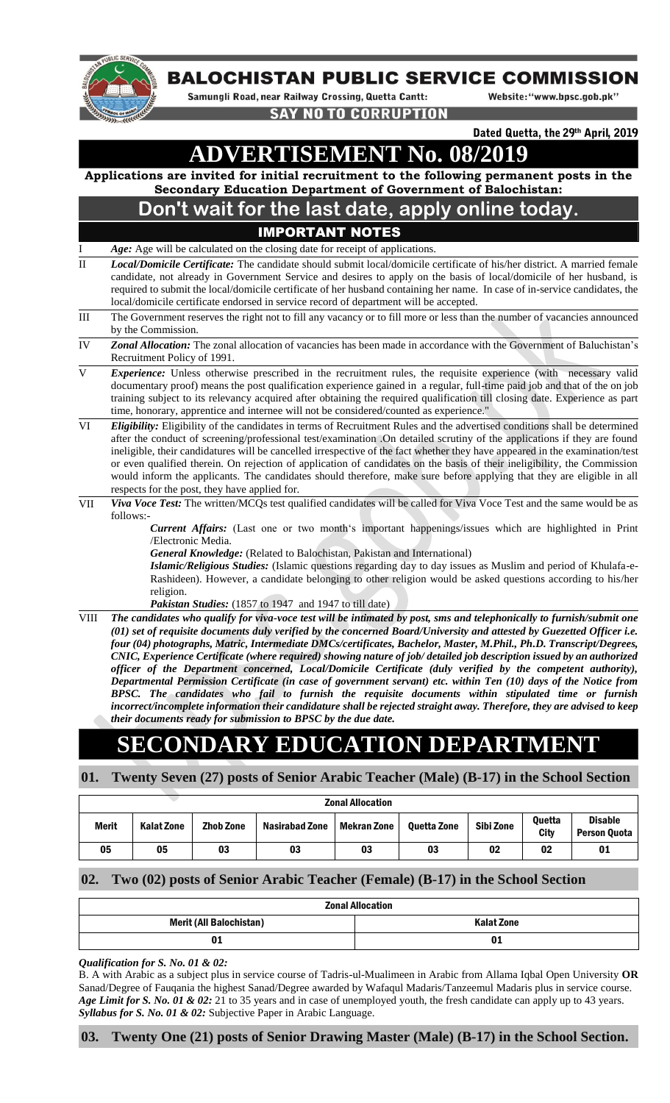

## **BALOCHISTAN PUBLIC SERVICE COMMISSION**

Samungli Road, near Railway Crossing, Quetta Cantt:

Website: "www.bpsc.gob.pk"

**SAY NO TO CORRUPTION** 

Dated Quetta, the 29th April, 2019

**ADVERTISEMENT No. 08/2019**

**Applications are invited for initial recruitment to the following permanent posts in the Secondary Education Department of Government of Balochistan:**

## **Don't wait for the last date, apply online today.**  IMPORTANT NOTES

- Age: Age will be calculated on the closing date for receipt of applications.
- II *Local/Domicile Certificate:* The candidate should submit local/domicile certificate of his/her district. A married female candidate, not already in Government Service and desires to apply on the basis of local/domicile of her husband, is required to submit the local/domicile certificate of her husband containing her name. In case of in-service candidates, the local/domicile certificate endorsed in service record of department will be accepted.
- III The Government reserves the right not to fill any vacancy or to fill more or less than the number of vacancies announced by the Commission.
- IV *Zonal Allocation:* The zonal allocation of vacancies has been made in accordance with the Government of Baluchistan's Recruitment Policy of 1991.
- V *Experience:* Unless otherwise prescribed in the recruitment rules, the requisite experience (with necessary valid documentary proof) means the post qualification experience gained in a regular, full-time paid job and that of the on job training subject to its relevancy acquired after obtaining the required qualification till closing date. Experience as part time, honorary, apprentice and internee will not be considered/counted as experience.'
- VI *Eligibility:* Eligibility of the candidates in terms of Recruitment Rules and the advertised conditions shall be determined after the conduct of screening/professional test/examination .On detailed scrutiny of the applications if they are found ineligible, their candidatures will be cancelled irrespective of the fact whether they have appeared in the examination/test or even qualified therein. On rejection of application of candidates on the basis of their ineligibility, the Commission would inform the applicants. The candidates should therefore, make sure before applying that they are eligible in all respects for the post, they have applied for.
- VII *Viva Voce Test:* The written/MCQs test qualified candidates will be called for Viva Voce Test and the same would be as follows:-

*Current Affairs:* (Last one or two month's important happenings/issues which are highlighted in Print /Electronic Media.

*General Knowledge:* (Related to Balochistan, Pakistan and International)

*Islamic/Religious Studies:* (Islamic questions regarding day to day issues as Muslim and period of Khulafa-e-Rashideen). However, a candidate belonging to other religion would be asked questions according to his/her religion.

*Pakistan Studies:* (1857 to 1947 and 1947 to till date)

VIII *The candidates who qualify for viva-voce test will be intimated by post, sms and telephonically to furnish/submit one (01) set of requisite documents duly verified by the concerned Board/University and attested by Guezetted Officer i.e. four (04) photographs, Matric, Intermediate DMCs/certificates, Bachelor, Master, M.Phil., Ph.D. Transcript/Degrees, CNIC, Experience Certificate (where required) showing nature of job/ detailed job description issued by an authorized officer of the Department concerned, Local/Domicile Certificate (duly verified by the competent authority), Departmental Permission Certificate (in case of government servant) etc. within Ten (10) days of the Notice from BPSC. The candidates who fail to furnish the requisite documents within stipulated time or furnish incorrect/incomplete information their candidature shall be rejected straight away. Therefore, they are advised to keep their documents ready for submission to BPSC by the due date.*

# **SECONDARY EDUCATION DEPARTMENT**

**01. Twenty Seven (27) posts of Senior Arabic Teacher (Male) (B-17) in the School Section**

| <b>Zonal Allocation</b> |                   |                  |                       |             |             |           |                       |                                |  |  |
|-------------------------|-------------------|------------------|-----------------------|-------------|-------------|-----------|-----------------------|--------------------------------|--|--|
| <b>Merit</b>            | <b>Kalat Zone</b> | <b>Zhob Zone</b> | <b>Nasirabad Zone</b> | Mekran Zone | Ouetta Zone | Sibi Zone | <b>Ouetta</b><br>City | <b>Disable</b><br>Person Ouota |  |  |
| 05                      | 05                | 03               | 03                    | 03          | 03          | 02        | 02                    | 01                             |  |  |

### **02. Two (02) posts of Senior Arabic Teacher (Female) (B-17) in the School Section**

| <b>Zonal Allocation</b>        |                   |  |  |  |  |  |
|--------------------------------|-------------------|--|--|--|--|--|
| <b>Merit (All Balochistan)</b> | <b>Kalat Zone</b> |  |  |  |  |  |
| UΙ                             |                   |  |  |  |  |  |

*Qualification for S. No. 01 & 02:* 

B. A with Arabic as a subject plus in service course of Tadris-ul-Mualimeen in Arabic from Allama Iqbal Open University **OR** Sanad/Degree of Fauqania the highest Sanad/Degree awarded by Wafaqul Madaris/Tanzeemul Madaris plus in service course. *Age Limit for S. No. 01 & 02:* 21 to 35 years and in case of unemployed youth, the fresh candidate can apply up to 43 years. *Syllabus for S. No. 01 & 02:* Subjective Paper in Arabic Language.

### **03. Twenty One (21) posts of Senior Drawing Master (Male) (B-17) in the School Section.**